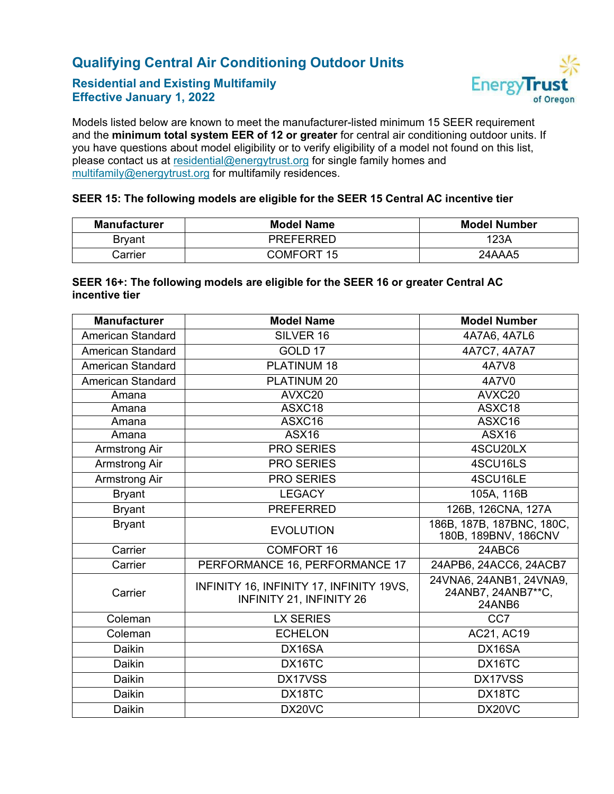## **Qualifying Central Air Conditioning Outdoor Units**

### **Residential and Existing Multifamily Effective January 1, 2022**



Models listed below are known to meet the manufacturer-listed minimum 15 SEER requirement and the **minimum total system EER of 12 or greater** for central air conditioning outdoor units. If you have questions about model eligibility or to verify eligibility of a model not found on this list, please contact us at [residential@energytrust.org](mailto:residential@energytrust.org) for single family homes and [multifamily@energytrust.org](mailto:multifamily@energytrust.org) for multifamily residences.

#### **SEER 15: The following models are eligible for the SEER 15 Central AC incentive tier**

| <b>Manufacturer</b> | <b>Model Name</b> | <b>Model Number</b> |
|---------------------|-------------------|---------------------|
| Bryant              | <b>PREFERRED</b>  | 123A                |
| arrier              | COMFORT 15        | 24AAA5              |

#### **SEER 16+: The following models are eligible for the SEER 16 or greater Central AC incentive tier**

| Manufacturer             | <b>Model Name</b>                                                    | <b>Model Number</b>                                     |
|--------------------------|----------------------------------------------------------------------|---------------------------------------------------------|
| <b>American Standard</b> | SILVER 16                                                            | 4A7A6, 4A7L6                                            |
| <b>American Standard</b> | GOLD 17                                                              | 4A7C7, 4A7A7                                            |
| <b>American Standard</b> | PLATINUM 18                                                          | 4A7V8                                                   |
| <b>American Standard</b> | PLATINUM 20                                                          | 4A7V0                                                   |
| Amana                    | AVXC20                                                               | AVXC20                                                  |
| Amana                    | ASXC18                                                               | ASXC18                                                  |
| Amana                    | ASXC16                                                               | ASXC16                                                  |
| Amana                    | <b>ASX16</b>                                                         | <b>ASX16</b>                                            |
| <b>Armstrong Air</b>     | <b>PRO SERIES</b>                                                    | 4SCU20LX                                                |
| <b>Armstrong Air</b>     | <b>PRO SERIES</b>                                                    | 4SCU16LS                                                |
| <b>Armstrong Air</b>     | <b>PRO SERIES</b>                                                    | 4SCU16LE                                                |
| <b>Bryant</b>            | <b>LEGACY</b>                                                        | 105A, 116B                                              |
| <b>Bryant</b>            | <b>PREFERRED</b>                                                     | 126B, 126CNA, 127A                                      |
| <b>Bryant</b>            | <b>EVOLUTION</b>                                                     | 186B, 187B, 187BNC, 180C,<br>180B, 189BNV, 186CNV       |
| Carrier                  | <b>COMFORT 16</b>                                                    | 24ABC6                                                  |
| Carrier                  | PERFORMANCE 16, PERFORMANCE 17                                       | 24APB6, 24ACC6, 24ACB7                                  |
| Carrier                  | INFINITY 16, INFINITY 17, INFINITY 19VS,<br>INFINITY 21, INFINITY 26 | 24VNA6, 24ANB1, 24VNA9,<br>24ANB7, 24ANB7**C,<br>24ANB6 |
| Coleman                  | <b>LX SERIES</b>                                                     | CC7                                                     |
| Coleman                  | <b>ECHELON</b>                                                       | AC21, AC19                                              |
| Daikin                   | DX16SA                                                               | DX16SA                                                  |
| Daikin                   | DX16TC                                                               | DX16TC                                                  |
| Daikin                   | DX17VSS                                                              | DX17VSS                                                 |
| Daikin                   | DX18TC                                                               | DX18TC                                                  |
| Daikin                   | DX20VC                                                               | DX20VC                                                  |